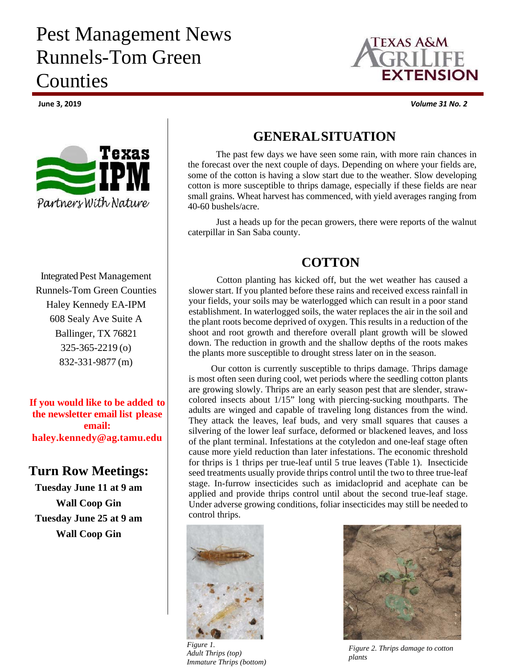# Pest Management News Runnels-Tom Green **Counties**



Integrated Pest Management Runnels-Tom Green Counties Haley Kennedy EA-IPM 608 Sealy Ave Suite A Ballinger, TX 76821 325-365-2219 (o) 832-331-9877 (m)

**If you would like to be added to the newsletter email list please email: haley.kennedy@ag.tamu.edu**

#### **Turn Row Meetings:**

**Tuesday June 11 at 9 am Wall Coop Gin Tuesday June 25 at 9 am Wall Coop Gin** 



**June 3, 2019** *Volume 31 No. 2*

### **GENERAL SITUATION**

The past few days we have seen some rain, with more rain chances in the forecast over the next couple of days. Depending on where your fields are, some of the cotton is having a slow start due to the weather. Slow developing cotton is more susceptible to thrips damage, especially if these fields are near small grains. Wheat harvest has commenced, with yield averages ranging from 40-60 bushels/acre.

Just a heads up for the pecan growers, there were reports of the walnut caterpillar in San Saba county.

# **COTTON**

Cotton planting has kicked off, but the wet weather has caused a slower start. If you planted before these rains and received excess rainfall in your fields, your soils may be waterlogged which can result in a poor stand establishment. In waterlogged soils, the water replaces the air in the soil and the plant roots become deprived of oxygen. This results in a reduction of the shoot and root growth and therefore overall plant growth will be slowed down. The reduction in growth and the shallow depths of the roots makes the plants more susceptible to drought stress later on in the season.

Our cotton is currently susceptible to thrips damage. Thrips damage is most often seen during cool, wet periods where the seedling cotton plants are growing slowly. Thrips are an early season pest that are slender, strawcolored insects about 1/15" long with piercing-sucking mouthparts. The adults are winged and capable of traveling long distances from the wind. They attack the leaves, leaf buds, and very small squares that causes a silvering of the lower leaf surface, deformed or blackened leaves, and loss of the plant terminal. Infestations at the cotyledon and one-leaf stage often cause more yield reduction than later infestations. The economic threshold for thrips is 1 thrips per true-leaf until 5 true leaves (Table 1). Insecticide seed treatments usually provide thrips control until the two to three true-leaf stage. In-furrow insecticides such as imidacloprid and acephate can be applied and provide thrips control until about the second true-leaf stage. Under adverse growing conditions, foliar insecticides may still be needed to control thrips.



*Figure 1. Adult Thrips (top) Immature Thrips (bottom)* 



*Figure 2. Thrips damage to cotton plants*